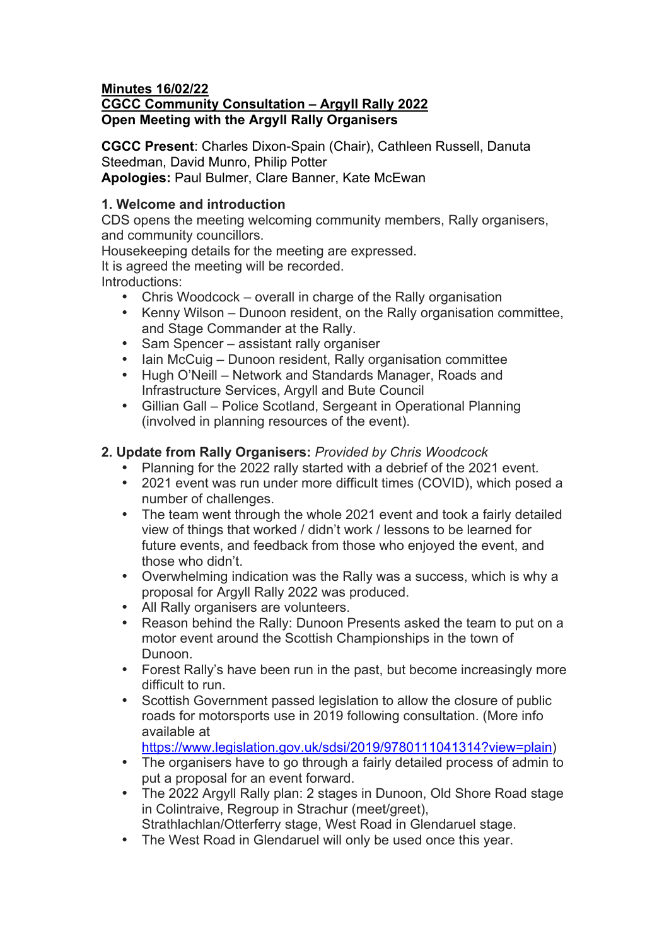#### **Minutes 16/02/22 CGCC Community Consultation – Argyll Rally 2022 Open Meeting with the Argyll Rally Organisers**

**CGCC Present**: Charles Dixon-Spain (Chair), Cathleen Russell, Danuta Steedman, David Munro, Philip Potter **Apologies:** Paul Bulmer, Clare Banner, Kate McEwan

## **1. Welcome and introduction**

CDS opens the meeting welcoming community members, Rally organisers, and community councillors.

Housekeeping details for the meeting are expressed.

It is agreed the meeting will be recorded.

Introductions:

- Chris Woodcock overall in charge of the Rally organisation
- Kenny Wilson Dunoon resident, on the Rally organisation committee, and Stage Commander at the Rally.
- Sam Spencer assistant rally organiser
- Iain McCuig Dunoon resident, Rally organisation committee<br>• Hugh O'Neill Network and Standards Manager, Roads and
- Hugh O'Neill Network and Standards Manager, Roads and Infrastructure Services, Argyll and Bute Council
- Gillian Gall Police Scotland, Sergeant in Operational Planning (involved in planning resources of the event).

# **2. Update from Rally Organisers:** *Provided by Chris Woodcock*

- Planning for the 2022 rally started with a debrief of the 2021 event.
- 2021 event was run under more difficult times (COVID), which posed a number of challenges.
- The team went through the whole 2021 event and took a fairly detailed view of things that worked / didn't work / lessons to be learned for future events, and feedback from those who enjoyed the event, and those who didn't.
- Overwhelming indication was the Rally was a success, which is why a proposal for Argyll Rally 2022 was produced.
- All Rally organisers are volunteers.<br>• Reason behind the Rally: Dunoon F
- Reason behind the Rally: Dunoon Presents asked the team to put on a motor event around the Scottish Championships in the town of Dunoon.
- Forest Rally's have been run in the past, but become increasingly more difficult to run.
- Scottish Government passed legislation to allow the closure of public roads for motorsports use in 2019 following consultation. (More info available at

https://www.legislation.gov.uk/sdsi/2019/9780111041314?view=plain)

- The organisers have to go through a fairly detailed process of admin to put a proposal for an event forward.
- The 2022 Argyll Rally plan: 2 stages in Dunoon, Old Shore Road stage in Colintraive, Regroup in Strachur (meet/greet),
- Strathlachlan/Otterferry stage, West Road in Glendaruel stage.
- The West Road in Glendaruel will only be used once this year.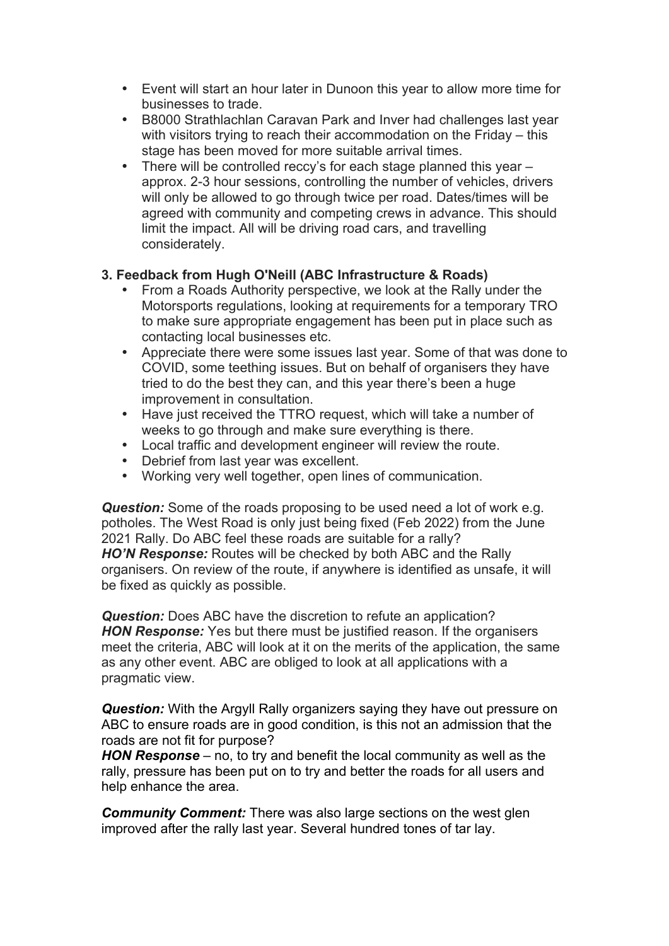- Event will start an hour later in Dunoon this year to allow more time for businesses to trade.
- B8000 Strathlachlan Caravan Park and Inver had challenges last year with visitors trying to reach their accommodation on the Friday – this stage has been moved for more suitable arrival times.
- There will be controlled reccy's for each stage planned this year approx. 2-3 hour sessions, controlling the number of vehicles, drivers will only be allowed to go through twice per road. Dates/times will be agreed with community and competing crews in advance. This should limit the impact. All will be driving road cars, and travelling considerately.

## **3. Feedback from Hugh O'Neill (ABC Infrastructure & Roads)**

- From a Roads Authority perspective, we look at the Rally under the Motorsports regulations, looking at requirements for a temporary TRO to make sure appropriate engagement has been put in place such as contacting local businesses etc.
- Appreciate there were some issues last year. Some of that was done to COVID, some teething issues. But on behalf of organisers they have tried to do the best they can, and this year there's been a huge improvement in consultation.
- Have just received the TTRO request, which will take a number of weeks to go through and make sure everything is there.
- Local traffic and development engineer will review the route.
- Debrief from last year was excellent.
- Working very well together, open lines of communication.

*Question:* Some of the roads proposing to be used need a lot of work e.g. potholes. The West Road is only just being fixed (Feb 2022) from the June 2021 Rally. Do ABC feel these roads are suitable for a rally? *HO'N Response:* Routes will be checked by both ABC and the Rally organisers. On review of the route, if anywhere is identified as unsafe, it will be fixed as quickly as possible.

*Question:* Does ABC have the discretion to refute an application? *HON Response:* Yes but there must be justified reason. If the organisers meet the criteria, ABC will look at it on the merits of the application, the same as any other event. ABC are obliged to look at all applications with a pragmatic view.

**Question:** With the Argyll Rally organizers saying they have out pressure on ABC to ensure roads are in good condition, is this not an admission that the roads are not fit for purpose?

*HON Response* – no, to try and benefit the local community as well as the rally, pressure has been put on to try and better the roads for all users and help enhance the area.

*Community Comment:* There was also large sections on the west glen improved after the rally last year. Several hundred tones of tar lay.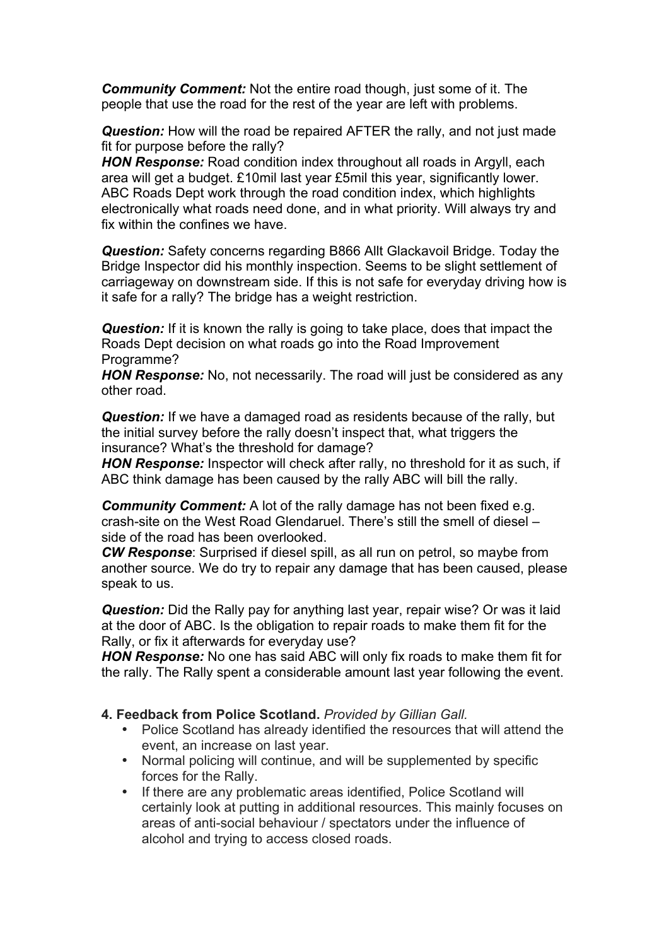*Community Comment:* Not the entire road though, just some of it. The people that use the road for the rest of the year are left with problems.

**Question:** How will the road be repaired AFTER the rally, and not just made fit for purpose before the rally?

*HON Response:* Road condition index throughout all roads in Argyll, each area will get a budget. £10mil last year £5mil this year, significantly lower. ABC Roads Dept work through the road condition index, which highlights electronically what roads need done, and in what priority. Will always try and fix within the confines we have.

*Question:* Safety concerns regarding B866 Allt Glackavoil Bridge. Today the Bridge Inspector did his monthly inspection. Seems to be slight settlement of carriageway on downstream side. If this is not safe for everyday driving how is it safe for a rally? The bridge has a weight restriction.

**Question:** If it is known the rally is going to take place, does that impact the Roads Dept decision on what roads go into the Road Improvement Programme?

*HON Response:* No, not necessarily. The road will just be considered as any other road.

*Question:* If we have a damaged road as residents because of the rally, but the initial survey before the rally doesn't inspect that, what triggers the insurance? What's the threshold for damage?

*HON Response:* Inspector will check after rally, no threshold for it as such, if ABC think damage has been caused by the rally ABC will bill the rally.

*Community Comment:* A lot of the rally damage has not been fixed e.g. crash-site on the West Road Glendaruel. There's still the smell of diesel – side of the road has been overlooked.

*CW Response*: Surprised if diesel spill, as all run on petrol, so maybe from another source. We do try to repair any damage that has been caused, please speak to us.

*Question:* Did the Rally pay for anything last year, repair wise? Or was it laid at the door of ABC. Is the obligation to repair roads to make them fit for the Rally, or fix it afterwards for everyday use?

*HON Response:* No one has said ABC will only fix roads to make them fit for the rally. The Rally spent a considerable amount last year following the event.

#### **4. Feedback from Police Scotland.** *Provided by Gillian Gall.*

- Police Scotland has already identified the resources that will attend the event, an increase on last year.
- Normal policing will continue, and will be supplemented by specific forces for the Rally.
- If there are any problematic areas identified, Police Scotland will certainly look at putting in additional resources. This mainly focuses on areas of anti-social behaviour / spectators under the influence of alcohol and trying to access closed roads.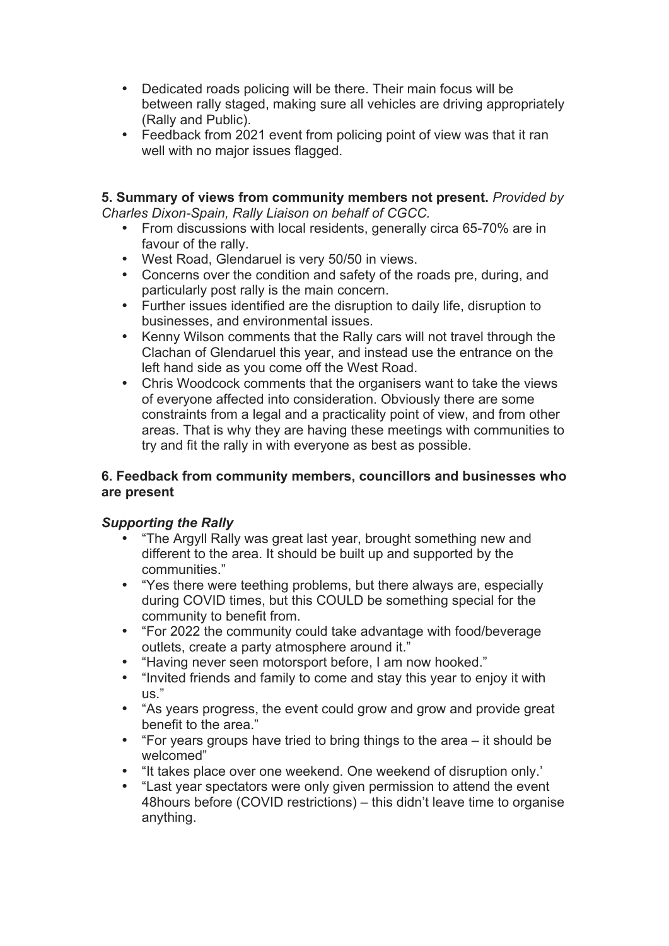- Dedicated roads policing will be there. Their main focus will be between rally staged, making sure all vehicles are driving appropriately (Rally and Public).
- Feedback from 2021 event from policing point of view was that it ran well with no major issues flagged.

#### **5. Summary of views from community members not present.** *Provided by Charles Dixon-Spain, Rally Liaison on behalf of CGCC.*

- From discussions with local residents, generally circa 65-70% are in favour of the rally.
- West Road, Glendaruel is very 50/50 in views.
- Concerns over the condition and safety of the roads pre, during, and particularly post rally is the main concern.
- Further issues identified are the disruption to daily life, disruption to businesses, and environmental issues.
- Kenny Wilson comments that the Rally cars will not travel through the Clachan of Glendaruel this year, and instead use the entrance on the left hand side as you come off the West Road.
- Chris Woodcock comments that the organisers want to take the views of everyone affected into consideration. Obviously there are some constraints from a legal and a practicality point of view, and from other areas. That is why they are having these meetings with communities to try and fit the rally in with everyone as best as possible.

#### **6. Feedback from community members, councillors and businesses who are present**

## *Supporting the Rally*

- "The Argyll Rally was great last year, brought something new and different to the area. It should be built up and supported by the communities."
- "Yes there were teething problems, but there always are, especially during COVID times, but this COULD be something special for the community to benefit from.
- "For 2022 the community could take advantage with food/beverage outlets, create a party atmosphere around it."
- "Having never seen motorsport before, I am now hooked."
- "Invited friends and family to come and stay this year to enjoy it with us."
- "As years progress, the event could grow and grow and provide great benefit to the area."
- "For years groups have tried to bring things to the area it should be welcomed"
- "It takes place over one weekend. One weekend of disruption only.'
- "Last year spectators were only given permission to attend the event 48hours before (COVID restrictions) – this didn't leave time to organise anything.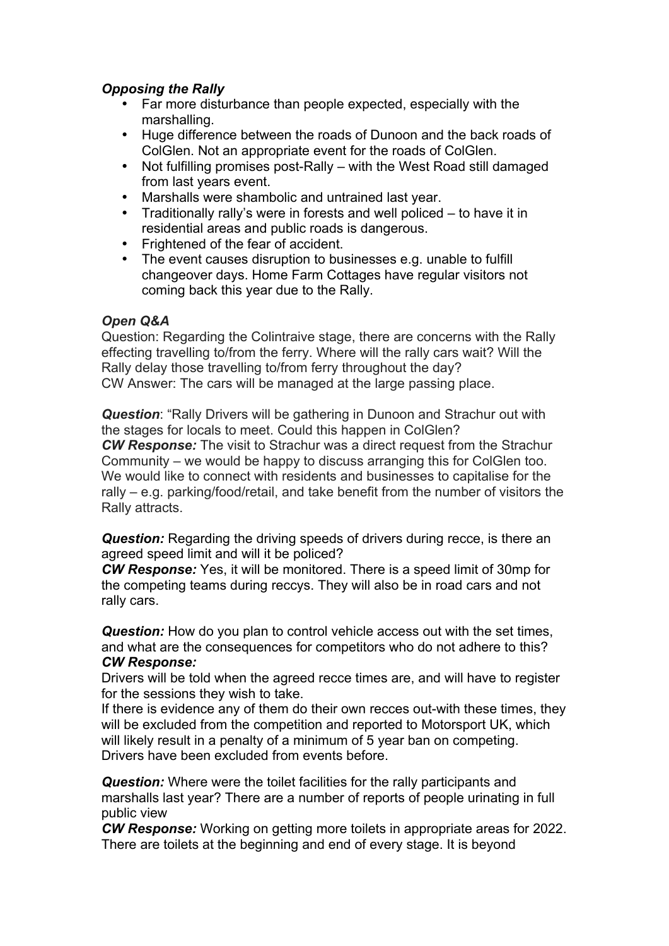## *Opposing the Rally*

- Far more disturbance than people expected, especially with the marshalling.
- Huge difference between the roads of Dunoon and the back roads of ColGlen. Not an appropriate event for the roads of ColGlen.
- Not fulfilling promises post-Rally with the West Road still damaged from last years event.
- Marshalls were shambolic and untrained last year.
- Traditionally rally's were in forests and well policed to have it in residential areas and public roads is dangerous.
- Frightened of the fear of accident.<br>• The event causes discuption to bus
- The event causes disruption to businesses e.g. unable to fulfill changeover days. Home Farm Cottages have regular visitors not coming back this year due to the Rally.

## *Open Q&A*

Question: Regarding the Colintraive stage, there are concerns with the Rally effecting travelling to/from the ferry. Where will the rally cars wait? Will the Rally delay those travelling to/from ferry throughout the day? CW Answer: The cars will be managed at the large passing place.

*Question*: "Rally Drivers will be gathering in Dunoon and Strachur out with the stages for locals to meet. Could this happen in ColGlen? *CW Response:* The visit to Strachur was a direct request from the Strachur Community – we would be happy to discuss arranging this for ColGlen too. We would like to connect with residents and businesses to capitalise for the rally – e.g. parking/food/retail, and take benefit from the number of visitors the Rally attracts.

**Question:** Regarding the driving speeds of drivers during recce, is there an agreed speed limit and will it be policed?

*CW Response:* Yes, it will be monitored. There is a speed limit of 30mp for the competing teams during reccys. They will also be in road cars and not rally cars.

**Question:** How do you plan to control vehicle access out with the set times, and what are the consequences for competitors who do not adhere to this? *CW Response:*

Drivers will be told when the agreed recce times are, and will have to register for the sessions they wish to take.

If there is evidence any of them do their own recces out-with these times, they will be excluded from the competition and reported to Motorsport UK, which will likely result in a penalty of a minimum of 5 year ban on competing. Drivers have been excluded from events before.

*Question:* Where were the toilet facilities for the rally participants and marshalls last year? There are a number of reports of people urinating in full public view

*CW Response:* Working on getting more toilets in appropriate areas for 2022. There are toilets at the beginning and end of every stage. It is beyond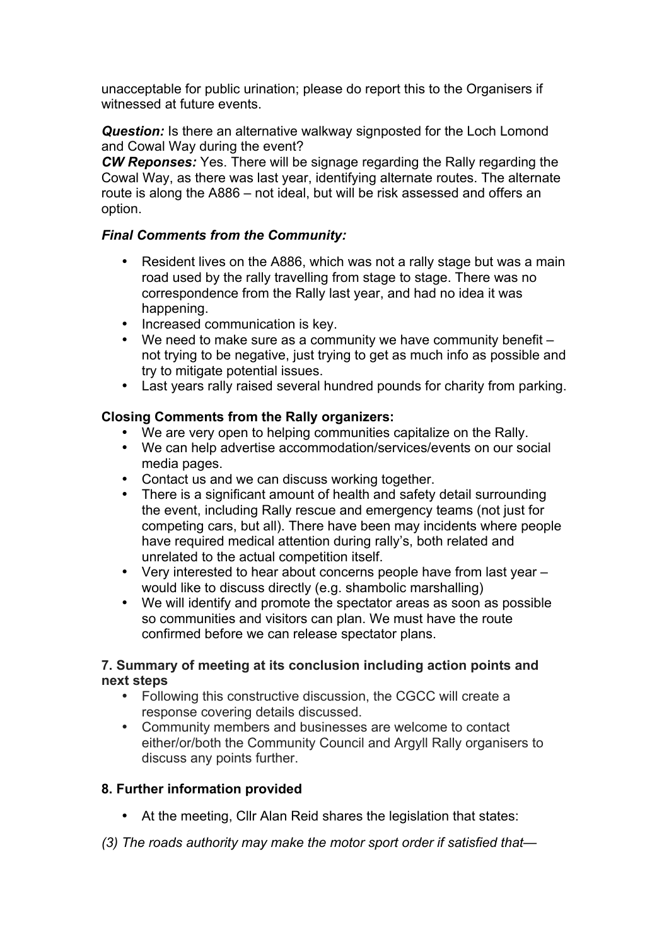unacceptable for public urination; please do report this to the Organisers if witnessed at future events.

**Question:** Is there an alternative walkway signposted for the Loch Lomond and Cowal Way during the event?

*CW Reponses:* Yes. There will be signage regarding the Rally regarding the Cowal Way, as there was last year, identifying alternate routes. The alternate route is along the A886 – not ideal, but will be risk assessed and offers an option.

## *Final Comments from the Community:*

- Resident lives on the A886, which was not a rally stage but was a main road used by the rally travelling from stage to stage. There was no correspondence from the Rally last year, and had no idea it was happening.
- Increased communication is key.
- We need to make sure as a community we have community benefit not trying to be negative, just trying to get as much info as possible and try to mitigate potential issues.
- Last years rally raised several hundred pounds for charity from parking.

# **Closing Comments from the Rally organizers:**

- We are very open to helping communities capitalize on the Rally.
- We can help advertise accommodation/services/events on our social media pages.
- Contact us and we can discuss working together.
- There is a significant amount of health and safety detail surrounding the event, including Rally rescue and emergency teams (not just for competing cars, but all). There have been may incidents where people have required medical attention during rally's, both related and unrelated to the actual competition itself.
- Very interested to hear about concerns people have from last year would like to discuss directly (e.g. shambolic marshalling)
- We will identify and promote the spectator areas as soon as possible so communities and visitors can plan. We must have the route confirmed before we can release spectator plans.

## **7. Summary of meeting at its conclusion including action points and next steps**

- Following this constructive discussion, the CGCC will create a response covering details discussed.
- Community members and businesses are welcome to contact either/or/both the Community Council and Argyll Rally organisers to discuss any points further.

# **8. Further information provided**

- At the meeting, Cllr Alan Reid shares the legislation that states:
- *(3) The roads authority may make the motor sport order if satisfied that—*